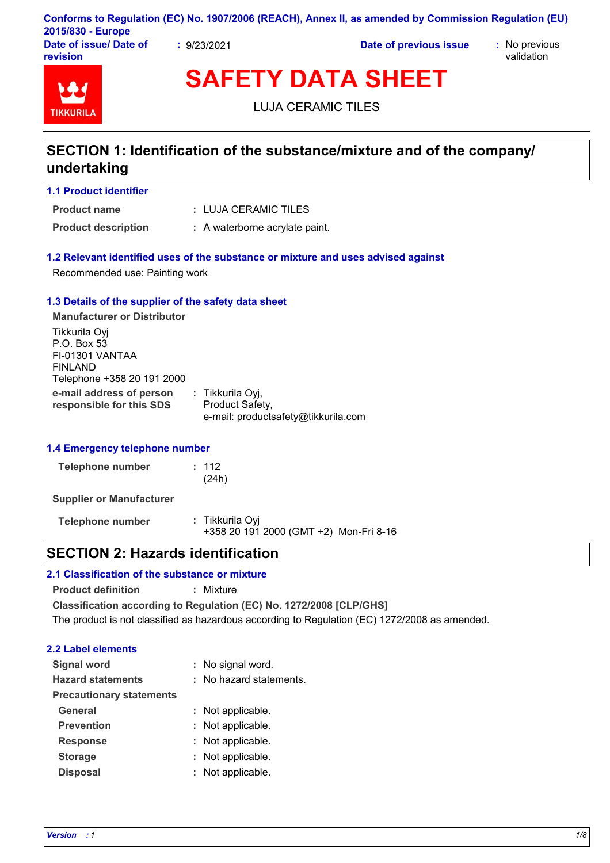|                                    |           | Conforms to Regulation (EC) No. 1907/2006 (REACH), Annex II, as amended by Commission Regulation (EU) |                             |
|------------------------------------|-----------|-------------------------------------------------------------------------------------------------------|-----------------------------|
| 2015/830 - Europe                  |           |                                                                                                       |                             |
| Date of issue/ Date of<br>revision | 9/23/2021 | Date of previous issue                                                                                | : No previous<br>validation |

# **TIKKURIL**

**SAFETY DATA SHEET**

LUJA CERAMIC TILES

## **SECTION 1: Identification of the substance/mixture and of the company/ undertaking**

#### **1.1 Product identifier**

**Product name**

LUJA CERAMIC TILES **:**

**Product description :** A waterborne acrylate paint.

### **1.2 Relevant identified uses of the substance or mixture and uses advised against**

Recommended use: Painting work

#### **1.3 Details of the supplier of the safety data sheet**

**e-mail address of person responsible for this SDS :** Tikkurila Oyj, Product Safety, e-mail: productsafety@tikkurila.com **Manufacturer or Distributor** Tikkurila Oyj P.O. Box 53 FI-01301 VANTAA FINLAND Telephone +358 20 191 2000

#### **1.4 Emergency telephone number**

| Telephone number | : 112 |
|------------------|-------|
|                  | (24h) |

**Supplier or Manufacturer**

**Telephone number :** Tikkurila Oyj +358 20 191 2000 (GMT +2) Mon-Fri 8-16

## **SECTION 2: Hazards identification**

## **2.1 Classification of the substance or mixture**

**Product definition :** Mixture

**Classification according to Regulation (EC) No. 1272/2008 [CLP/GHS]** The product is not classified as hazardous according to Regulation (EC) 1272/2008 as amended.

#### **2.2 Label elements**

| <b>Signal word</b>              | : No signal word.       |
|---------------------------------|-------------------------|
| <b>Hazard statements</b>        | : No hazard statements. |
| <b>Precautionary statements</b> |                         |
| <b>General</b>                  | : Not applicable.       |
| <b>Prevention</b>               | : Not applicable.       |
| <b>Response</b>                 | : Not applicable.       |
| <b>Storage</b>                  | : Not applicable.       |
| <b>Disposal</b>                 | : Not applicable.       |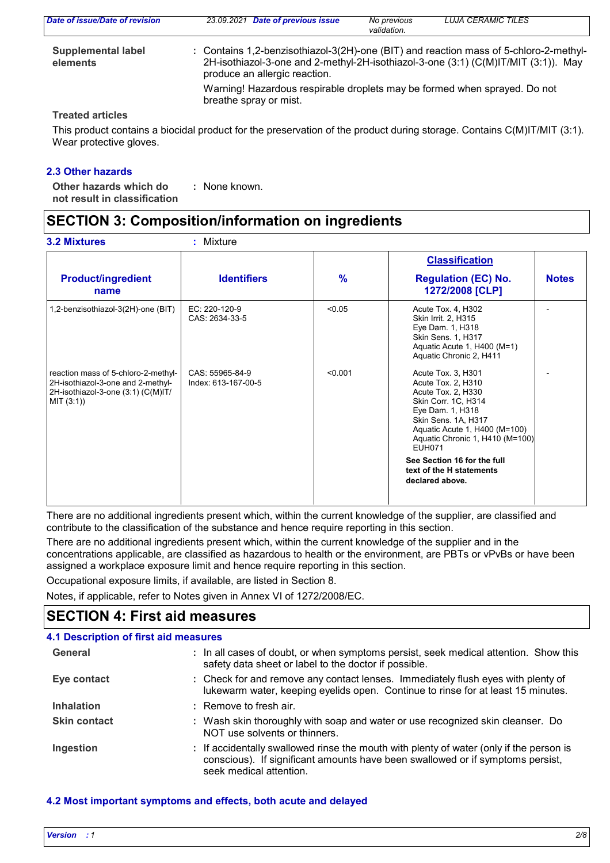| Date of issue/Date of revision        | 23.09.2021 Date of previous issue                                                                                      | No previous<br>validation. | <b>LUJA CERAMIC TILES</b>                                                          |
|---------------------------------------|------------------------------------------------------------------------------------------------------------------------|----------------------------|------------------------------------------------------------------------------------|
| <b>Supplemental label</b><br>elements | : Contains 1,2-benzisothiazol-3(2H)-one (BIT) and reaction mass of 5-chloro-2-methyl-<br>produce an allergic reaction. |                            | 2H-isothiazol-3-one and 2-methyl-2H-isothiazol-3-one (3:1) (C(M)IT/MIT (3:1)). May |
|                                       | Warning! Hazardous respirable droplets may be formed when sprayed. Do not<br>breathe spray or mist.                    |                            |                                                                                    |
| <b>Treated articles</b>               |                                                                                                                        |                            |                                                                                    |

This product contains a biocidal product for the preservation of the product during storage. Contains C(M)IT/MIT (3:1). Wear protective gloves.

#### **2.3 Other hazards**

**Other hazards which do : not result in classification** : None known.

## **SECTION 3: Composition/information on ingredients**

| <b>3.2 Mixtures</b>                                                                                                          | : Mixture                              |               |                                                                                                                                                                                                                       |              |
|------------------------------------------------------------------------------------------------------------------------------|----------------------------------------|---------------|-----------------------------------------------------------------------------------------------------------------------------------------------------------------------------------------------------------------------|--------------|
|                                                                                                                              |                                        |               | <b>Classification</b>                                                                                                                                                                                                 |              |
| <b>Product/ingredient</b><br>name                                                                                            | <b>Identifiers</b>                     | $\frac{9}{6}$ | <b>Regulation (EC) No.</b><br>1272/2008 [CLP]                                                                                                                                                                         | <b>Notes</b> |
| 1,2-benzisothiazol-3(2H)-one (BIT)                                                                                           | EC: 220-120-9<br>CAS: 2634-33-5        | < 0.05        | Acute Tox. 4, H302<br>Skin Irrit. 2, H315<br>Eye Dam. 1, H318<br>Skin Sens. 1, H317<br>Aquatic Acute 1, H400 (M=1)<br>Aquatic Chronic 2, H411                                                                         |              |
| reaction mass of 5-chloro-2-methyl-<br>2H-isothiazol-3-one and 2-methyl-<br>2H-isothiazol-3-one (3:1) (C(M)IT/<br>MIT (3:1)) | CAS: 55965-84-9<br>Index: 613-167-00-5 | < 0.001       | Acute Tox. 3, H301<br>Acute Tox. 2, H310<br>Acute Tox. 2, H330<br>Skin Corr. 1C, H314<br>Eye Dam. 1, H318<br>Skin Sens. 1A, H317<br>Aquatic Acute 1, H400 (M=100)<br>Aquatic Chronic 1, H410 (M=100)<br><b>EUH071</b> |              |
|                                                                                                                              |                                        |               | See Section 16 for the full<br>text of the H statements<br>declared above.                                                                                                                                            |              |

There are no additional ingredients present which, within the current knowledge of the supplier, are classified and contribute to the classification of the substance and hence require reporting in this section.

There are no additional ingredients present which, within the current knowledge of the supplier and in the concentrations applicable, are classified as hazardous to health or the environment, are PBTs or vPvBs or have been assigned a workplace exposure limit and hence require reporting in this section.

Occupational exposure limits, if available, are listed in Section 8.

Notes, if applicable, refer to Notes given in Annex VI of 1272/2008/EC.

## **SECTION 4: First aid measures**

## **4.1 Description of first aid measures**

| General             | : In all cases of doubt, or when symptoms persist, seek medical attention. Show this<br>safety data sheet or label to the doctor if possible.                                                        |
|---------------------|------------------------------------------------------------------------------------------------------------------------------------------------------------------------------------------------------|
| Eye contact         | : Check for and remove any contact lenses. Immediately flush eyes with plenty of<br>lukewarm water, keeping eyelids open. Continue to rinse for at least 15 minutes.                                 |
| <b>Inhalation</b>   | : Remove to fresh air.                                                                                                                                                                               |
| <b>Skin contact</b> | : Wash skin thoroughly with soap and water or use recognized skin cleanser. Do<br>NOT use solvents or thinners.                                                                                      |
| Ingestion           | : If accidentally swallowed rinse the mouth with plenty of water (only if the person is<br>conscious). If significant amounts have been swallowed or if symptoms persist,<br>seek medical attention. |

#### **4.2 Most important symptoms and effects, both acute and delayed**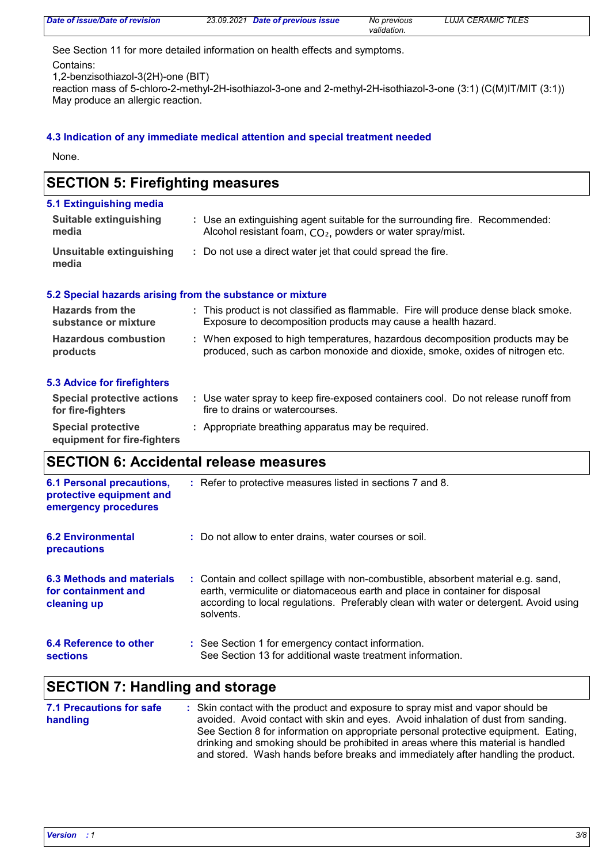| Date of issue/Date of revision | 23.09.2021 Date of previous issue | No previous | <b>LUJA CERAMIC TILES</b> |
|--------------------------------|-----------------------------------|-------------|---------------------------|
|                                |                                   | validation. |                           |

See Section 11 for more detailed information on health effects and symptoms.

Contains:

1,2-benzisothiazol-3(2H)-one (BIT)

reaction mass of 5-chloro-2-methyl-2H-isothiazol-3-one and 2-methyl-2H-isothiazol-3-one (3:1) (C(M)IT/MIT (3:1)) May produce an allergic reaction.

#### **4.3 Indication of any immediate medical attention and special treatment needed**

None.

| 5.1 Extinguishing media                |                                                                                                                                              |
|----------------------------------------|----------------------------------------------------------------------------------------------------------------------------------------------|
| <b>Suitable extinguishing</b><br>media | : Use an extinguishing agent suitable for the surrounding fire. Recommended:<br>Alcohol resistant foam, $CO2$ , powders or water spray/mist. |
| Unsuitable extinguishing<br>media      | : Do not use a direct water jet that could spread the fire.                                                                                  |
|                                        | 5.2 Special hazards arising from the substance or mixture                                                                                    |

| <b>Hazards from the</b><br>substance or mixture | : This product is not classified as flammable. Fire will produce dense black smoke.<br>Exposure to decomposition products may cause a health hazard.          |  |
|-------------------------------------------------|---------------------------------------------------------------------------------------------------------------------------------------------------------------|--|
| <b>Hazardous combustion</b><br>products         | : When exposed to high temperatures, hazardous decomposition products may be<br>produced, such as carbon monoxide and dioxide, smoke, oxides of nitrogen etc. |  |

#### **5.3 Advice for firefighters**

| Special protective actions<br>for fire-fighters          | Use water spray to keep fire-exposed containers cool. Do not release runoff from<br>fire to drains or watercourses. |
|----------------------------------------------------------|---------------------------------------------------------------------------------------------------------------------|
| <b>Special protective</b><br>equipment for fire-fighters | : Appropriate breathing apparatus may be required.                                                                  |

## **SECTION 6: Accidental release measures**

| <b>6.1 Personal precautions,</b><br>protective equipment and<br>emergency procedures | : Refer to protective measures listed in sections 7 and 8.                                                                                                                                                                                                               |
|--------------------------------------------------------------------------------------|--------------------------------------------------------------------------------------------------------------------------------------------------------------------------------------------------------------------------------------------------------------------------|
| <b>6.2 Environmental</b><br>precautions                                              | : Do not allow to enter drains, water courses or soil.                                                                                                                                                                                                                   |
| 6.3 Methods and materials<br>for containment and<br>cleaning up                      | : Contain and collect spillage with non-combustible, absorbent material e.g. sand,<br>earth, vermiculite or diatomaceous earth and place in container for disposal<br>according to local regulations. Preferably clean with water or detergent. Avoid using<br>solvents. |
| 6.4 Reference to other<br><b>sections</b>                                            | : See Section 1 for emergency contact information.<br>See Section 13 for additional waste treatment information.                                                                                                                                                         |

## **SECTION 7: Handling and storage**

**7.1 Precautions for safe handling** Skin contact with the product and exposure to spray mist and vapor should be **:** avoided. Avoid contact with skin and eyes. Avoid inhalation of dust from sanding. See Section 8 for information on appropriate personal protective equipment. Eating, drinking and smoking should be prohibited in areas where this material is handled and stored. Wash hands before breaks and immediately after handling the product.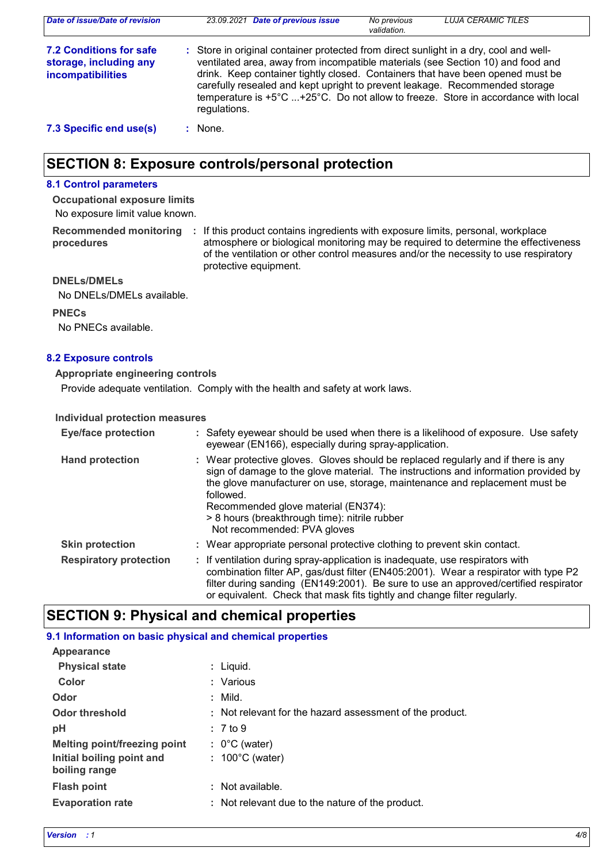| Date of issue/Date of revision                                                | 23.09.2021 Date of previous issue                                                                                                                                                                                                                                                                                                                                                                                                              | No previous<br>validation. | <b>LUJA CERAMIC TILES</b> |
|-------------------------------------------------------------------------------|------------------------------------------------------------------------------------------------------------------------------------------------------------------------------------------------------------------------------------------------------------------------------------------------------------------------------------------------------------------------------------------------------------------------------------------------|----------------------------|---------------------------|
| <b>7.2 Conditions for safe</b><br>storage, including any<br>incompatibilities | : Store in original container protected from direct sunlight in a dry, cool and well-<br>ventilated area, away from incompatible materials (see Section 10) and food and<br>drink. Keep container tightly closed. Containers that have been opened must be<br>carefully resealed and kept upright to prevent leakage. Recommended storage<br>temperature is +5°C +25°C. Do not allow to freeze. Store in accordance with local<br>regulations. |                            |                           |
| 7.3 Specific end use(s)                                                       | : None.                                                                                                                                                                                                                                                                                                                                                                                                                                        |                            |                           |

## **SECTION 8: Exposure controls/personal protection**

#### **8.1 Control parameters**

No exposure limit value known. **Occupational exposure limits**

**Recommended monitoring**  If this product contains ingredients with exposure limits, personal, workplace **: procedures** atmosphere or biological monitoring may be required to determine the effectiveness of the ventilation or other control measures and/or the necessity to use respiratory protective equipment.

**DNELs/DMELs**

No DNELs/DMELs available.

**PNECs**

No PNECs available.

#### **8.2 Exposure controls**

#### **Appropriate engineering controls**

Provide adequate ventilation. Comply with the health and safety at work laws.

#### **Individual protection measures**

| <b>Eye/face protection</b>    | : Safety eyewear should be used when there is a likelihood of exposure. Use safety<br>eyewear (EN166), especially during spray-application.                                                                                                                                                                                                                                                |
|-------------------------------|--------------------------------------------------------------------------------------------------------------------------------------------------------------------------------------------------------------------------------------------------------------------------------------------------------------------------------------------------------------------------------------------|
| <b>Hand protection</b>        | : Wear protective gloves. Gloves should be replaced regularly and if there is any<br>sign of damage to the glove material. The instructions and information provided by<br>the glove manufacturer on use, storage, maintenance and replacement must be<br>followed.<br>Recommended glove material (EN374):<br>> 8 hours (breakthrough time): nitrile rubber<br>Not recommended: PVA gloves |
| <b>Skin protection</b>        | : Wear appropriate personal protective clothing to prevent skin contact.                                                                                                                                                                                                                                                                                                                   |
| <b>Respiratory protection</b> | : If ventilation during spray-application is inadequate, use respirators with<br>combination filter AP, gas/dust filter (EN405:2001). Wear a respirator with type P2<br>filter during sanding (EN149:2001). Be sure to use an approved/certified respirator<br>or equivalent. Check that mask fits tightly and change filter regularly.                                                    |

## **SECTION 9: Physical and chemical properties**

| 9.1 Information on basic physical and chemical properties |                                                          |
|-----------------------------------------------------------|----------------------------------------------------------|
| Appearance                                                |                                                          |
| <b>Physical state</b>                                     | : Liquid.                                                |
| Color                                                     | : Various                                                |
| Odor                                                      | $:$ Mild.                                                |
| <b>Odor threshold</b>                                     | : Not relevant for the hazard assessment of the product. |
| рH                                                        | $: 7$ to 9                                               |
| Melting point/freezing point                              | $: 0^{\circ}$ C (water)                                  |
| Initial boiling point and<br>boiling range                | $: 100^{\circ}$ C (water)                                |
| <b>Flash point</b>                                        | : Not available.                                         |
| <b>Evaporation rate</b>                                   | : Not relevant due to the nature of the product.         |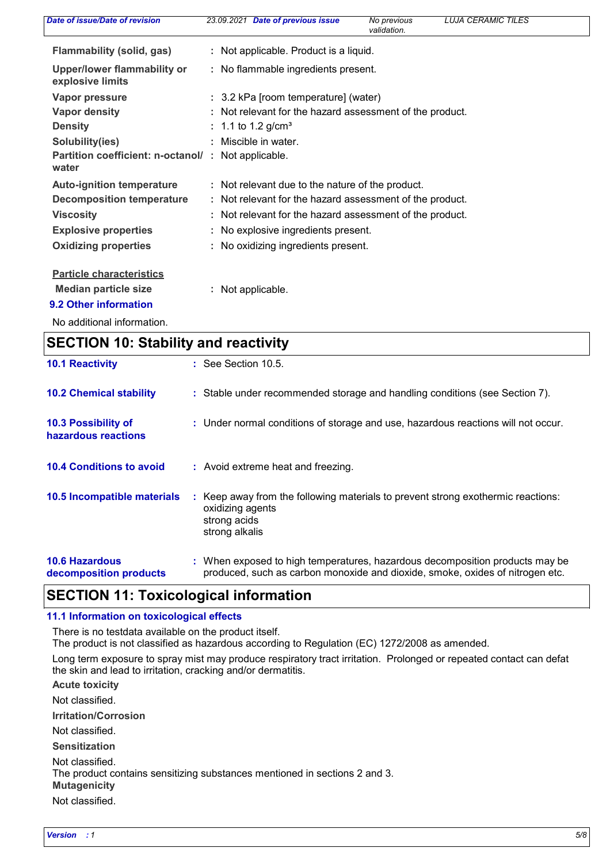| Date of issue/Date of revision                  | 23.09.2021 Date of previous issue<br><b>LUJA CERAMIC TILES</b><br>No previous<br>validation. |
|-------------------------------------------------|----------------------------------------------------------------------------------------------|
| <b>Flammability (solid, gas)</b>                | : Not applicable. Product is a liquid.                                                       |
| Upper/lower flammability or<br>explosive limits | : No flammable ingredients present.                                                          |
| Vapor pressure                                  | : 3.2 kPa [room temperature] (water)                                                         |
| <b>Vapor density</b>                            | : Not relevant for the hazard assessment of the product.                                     |
| <b>Density</b>                                  | : 1.1 to 1.2 g/cm <sup>3</sup>                                                               |
| Solubility(ies)                                 | : Miscible in water.                                                                         |
| Partition coefficient: n-octanol/:<br>water     | Not applicable.                                                                              |
| <b>Auto-ignition temperature</b>                | : Not relevant due to the nature of the product.                                             |
| <b>Decomposition temperature</b>                | : Not relevant for the hazard assessment of the product.                                     |
| <b>Viscosity</b>                                | : Not relevant for the hazard assessment of the product.                                     |
| <b>Explosive properties</b>                     | : No explosive ingredients present.                                                          |
| <b>Oxidizing properties</b>                     | : No oxidizing ingredients present.                                                          |
| <b>Particle characteristics</b>                 |                                                                                              |
| <b>Median particle size</b>                     | : Not applicable.                                                                            |
| 9.2 Other information                           |                                                                                              |
| No additional information.                      |                                                                                              |

| <b>SECTION 10: Stability and reactivity</b>     |                                                                                                                                                               |
|-------------------------------------------------|---------------------------------------------------------------------------------------------------------------------------------------------------------------|
| <b>10.1 Reactivity</b>                          | $\therefore$ See Section 10.5.                                                                                                                                |
| <b>10.2 Chemical stability</b>                  | : Stable under recommended storage and handling conditions (see Section 7).                                                                                   |
| 10.3 Possibility of<br>hazardous reactions      | : Under normal conditions of storage and use, hazardous reactions will not occur.                                                                             |
| <b>10.4 Conditions to avoid</b>                 | : Avoid extreme heat and freezing.                                                                                                                            |
| 10.5 Incompatible materials                     | : Keep away from the following materials to prevent strong exothermic reactions:<br>oxidizing agents<br>strong acids<br>strong alkalis                        |
| <b>10.6 Hazardous</b><br>decomposition products | : When exposed to high temperatures, hazardous decomposition products may be<br>produced, such as carbon monoxide and dioxide, smoke, oxides of nitrogen etc. |

## **SECTION 11: Toxicological information**

#### **11.1 Information on toxicological effects**

There is no testdata available on the product itself.

The product is not classified as hazardous according to Regulation (EC) 1272/2008 as amended.

Long term exposure to spray mist may produce respiratory tract irritation. Prolonged or repeated contact can defat the skin and lead to irritation, cracking and/or dermatitis.

**Acute toxicity Mutagenicity Irritation/Corrosion Sensitization** Not classified. Not classified. Not classified. The product contains sensitizing substances mentioned in sections 2 and 3.

Not classified.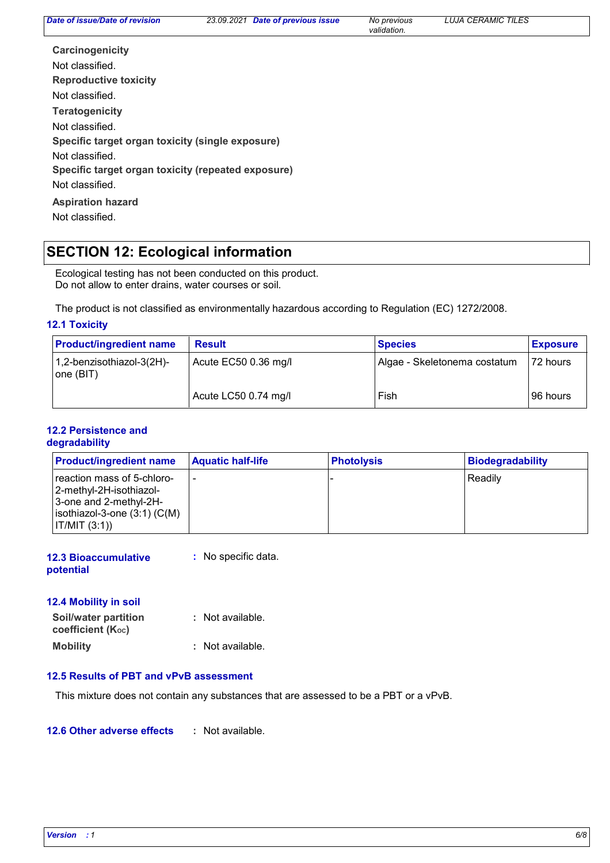*validation.*

| Carcinogenicity                                    |
|----------------------------------------------------|
| Not classified.                                    |
| <b>Reproductive toxicity</b>                       |
| Not classified.                                    |
| <b>Teratogenicity</b>                              |
| Not classified.                                    |
| Specific target organ toxicity (single exposure)   |
| Not classified.                                    |
| Specific target organ toxicity (repeated exposure) |
| Not classified.                                    |
| <b>Aspiration hazard</b>                           |
| Not classified.                                    |

## **SECTION 12: Ecological information**

Ecological testing has not been conducted on this product. Do not allow to enter drains, water courses or soil.

The product is not classified as environmentally hazardous according to Regulation (EC) 1272/2008.

#### **12.1 Toxicity**

| <b>Product/ingredient name</b>                                 | <b>Result</b>        | <b>Species</b>               | <b>Exposure</b> |
|----------------------------------------------------------------|----------------------|------------------------------|-----------------|
| 1,2-benzisothiazol-3(2H)-<br>Acute EC50 0.36 mg/l<br>one (BIT) |                      | Algae - Skeletonema costatum | 72 hours        |
|                                                                | Acute LC50 0.74 mg/l | Fish                         | 96 hours        |

#### **12.2 Persistence and degradability**

| <b>Product/ingredient name</b>                                                                                                        | <b>Aquatic half-life</b> | <b>Photolysis</b> | <b>Biodegradability</b> |
|---------------------------------------------------------------------------------------------------------------------------------------|--------------------------|-------------------|-------------------------|
| reaction mass of 5-chloro-<br>2-methyl-2H-isothiazol-<br>3-one and 2-methyl-2H-<br>$ $ isothiazol-3-one $(3:1)$ (C(M)<br>IT/MIT (3:1) |                          |                   | Readily                 |

**12.3 Bioaccumulative potential :** No specific data.

### **12.4 Mobility in soil**

| Soil/water partition<br>coefficient (Koc) | : Not available. |
|-------------------------------------------|------------------|
| <b>Mobility</b>                           | : Not available. |

#### **12.5 Results of PBT and vPvB assessment**

This mixture does not contain any substances that are assessed to be a PBT or a vPvB.

#### **12.6 Other adverse effects :**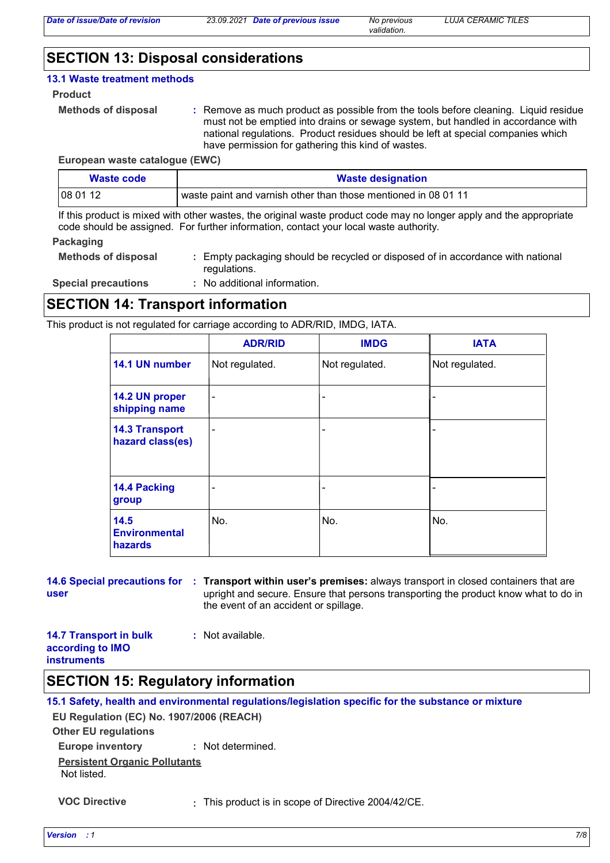*validation.*

## **SECTION 13: Disposal considerations**

#### **13.1 Waste treatment methods**

**Product**

```
Methods of disposal :
```
Remove as much product as possible from the tools before cleaning. Liquid residue must not be emptied into drains or sewage system, but handled in accordance with national regulations. Product residues should be left at special companies which have permission for gathering this kind of wastes.

**European waste catalogue (EWC)**

| Waste code | <b>Waste designation</b>                                       |
|------------|----------------------------------------------------------------|
| 080112     | waste paint and varnish other than those mentioned in 08 01 11 |

If this product is mixed with other wastes, the original waste product code may no longer apply and the appropriate code should be assigned. For further information, contact your local waste authority.

#### **Packaging**

| <b>Methods of disposal</b> | : Empty packaging should be recycled or disposed of in accordance with national |
|----------------------------|---------------------------------------------------------------------------------|
|                            | regulations.                                                                    |

**Special precautions :** No additional information.

## **SECTION 14: Transport information**

This product is not regulated for carriage according to ADR/RID, IMDG, IATA.

|                                           | <b>ADR/RID</b> | <b>IMDG</b>    | <b>IATA</b>    |
|-------------------------------------------|----------------|----------------|----------------|
| 14.1 UN number                            | Not regulated. | Not regulated. | Not regulated. |
| 14.2 UN proper<br>shipping name           | -              |                |                |
| <b>14.3 Transport</b><br>hazard class(es) | $\blacksquare$ |                |                |
| 14.4 Packing<br>group                     |                |                |                |
| 14.5<br><b>Environmental</b><br>hazards   | No.            | No.            | No.            |

#### **14.6 Special precautions for Transport within user's premises:** always transport in closed containers that are **: user** upright and secure. Ensure that persons transporting the product know what to do in the event of an accident or spillage.

#### **14.7 Transport in bulk according to IMO instruments**

## **SECTION 15: Regulatory information**

|                                          | 15.1 Safety, health and environmental regulations/legislation specific for the substance or mixture |
|------------------------------------------|-----------------------------------------------------------------------------------------------------|
| EU Regulation (EC) No. 1907/2006 (REACH) |                                                                                                     |
| <b>Other EU regulations</b>              |                                                                                                     |
| Europe inventory : Not determined.       |                                                                                                     |
| <b>Persistent Organic Pollutants</b>     |                                                                                                     |
| Not listed.                              |                                                                                                     |
|                                          |                                                                                                     |

**VOC Directive :** This product is in scope of Directive 2004/42/CE.

**:** Not available.